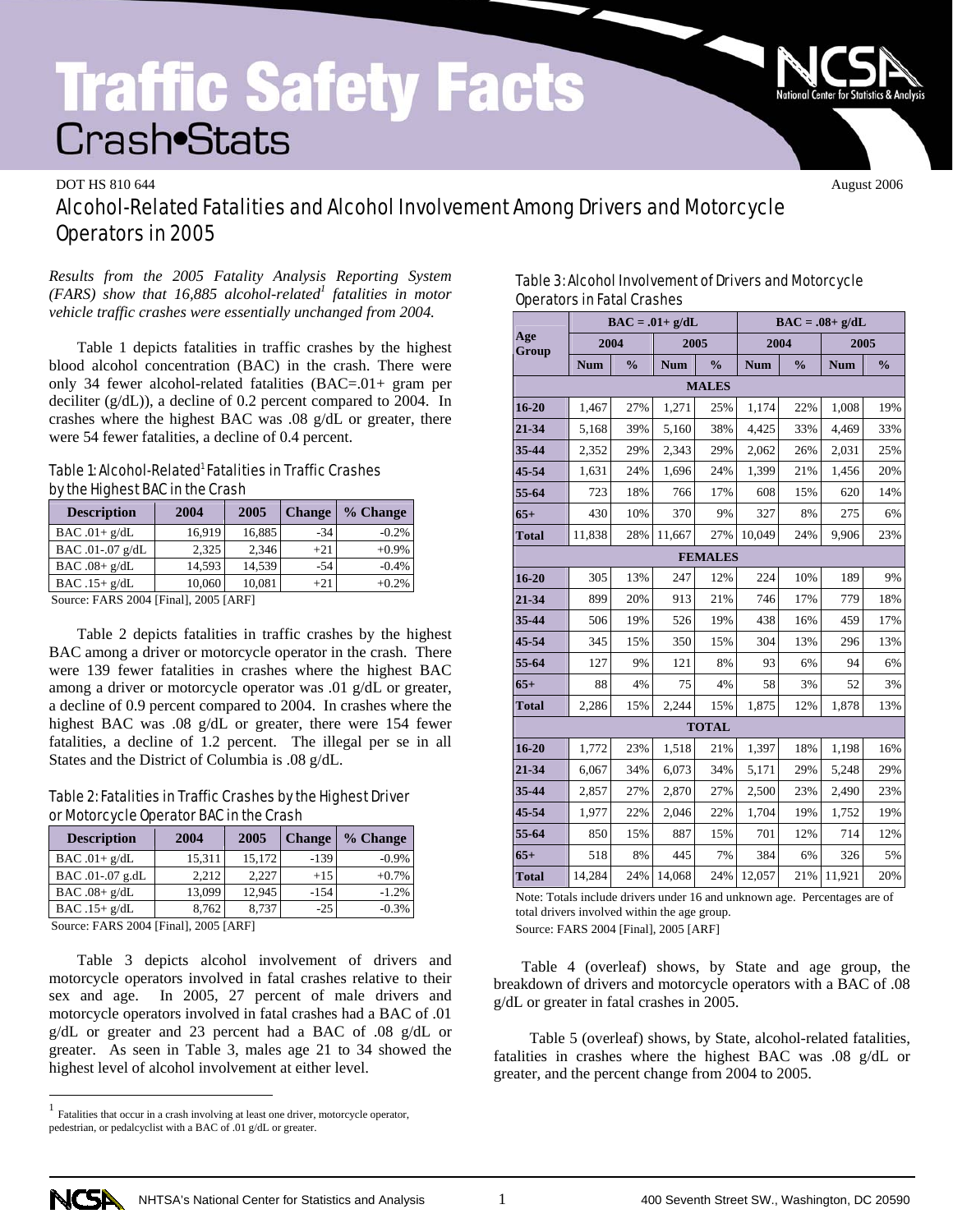# **Traffic Safety Facts** Crash•Stats

#### DOT HS 810 644 August 2006

# Alcohol-Related Fatalities and Alcohol Involvement Among Drivers and Motorcycle Operators in 2005

*Results from the 2005 Fatality Analysis Reporting System*  (FARS) show that 16,885 alcohol-related<sup>1</sup> fatalities in motor *vehicle traffic crashes were essentially unchanged from 2004.* 

 Table 1 depicts fatalities in traffic crashes by the highest blood alcohol concentration (BAC) in the crash. There were only 34 fewer alcohol-related fatalities (BAC=.01+ gram per deciliter (g/dL)), a decline of 0.2 percent compared to 2004. In crashes where the highest BAC was .08 g/dL or greater, there were 54 fewer fatalities, a decline of 0.4 percent.

## Table 1: Alcohol-Related<sup>1</sup> Fatalities in Traffic Crashes by the Highest BAC in the Crash

| <b>Description</b>                                                                                                                                                                                                                                                                                                                        | 2004   | 2005   | <b>Change</b> | % Change |  |  |
|-------------------------------------------------------------------------------------------------------------------------------------------------------------------------------------------------------------------------------------------------------------------------------------------------------------------------------------------|--------|--------|---------------|----------|--|--|
| $BAC.01+g/dL$                                                                                                                                                                                                                                                                                                                             | 16.919 | 16,885 | $-34$         | $-0.2%$  |  |  |
| BAC .01-.07 g/dL                                                                                                                                                                                                                                                                                                                          | 2.325  | 2.346  | $+21$         | $+0.9\%$ |  |  |
| $BAC.08+g/dL$                                                                                                                                                                                                                                                                                                                             | 14.593 | 14.539 | $-54$         | $-0.4%$  |  |  |
| BAC $.15+ g/dL$                                                                                                                                                                                                                                                                                                                           | 10.060 | 10,081 | $+21$         | $+0.2%$  |  |  |
| $C_{\text{2}}$ $\ldots$ $\ldots$ $\ldots$ $\ldots$ $\ldots$ $\ldots$ $\ldots$ $\ldots$ $\ldots$ $\ldots$ $\ldots$ $\ldots$ $\ldots$ $\ldots$ $\ldots$ $\ldots$ $\ldots$ $\ldots$ $\ldots$ $\ldots$ $\ldots$ $\ldots$ $\ldots$ $\ldots$ $\ldots$ $\ldots$ $\ldots$ $\ldots$ $\ldots$ $\ldots$ $\ldots$ $\ldots$ $\ldots$ $\ldots$ $\ldots$ |        |        |               |          |  |  |

Source: FARS 2004 [Final], 2005 [ARF]

 Table 2 depicts fatalities in traffic crashes by the highest BAC among a driver or motorcycle operator in the crash. There were 139 fewer fatalities in crashes where the highest BAC among a driver or motorcycle operator was .01 g/dL or greater, a decline of 0.9 percent compared to 2004. In crashes where the highest BAC was .08 g/dL or greater, there were 154 fewer fatalities, a decline of 1.2 percent. The illegal per se in all States and the District of Columbia is .08 g/dL.

### Table 2: Fatalities in Traffic Crashes by the Highest Driver or Motorcycle Operator BAC in the Crash

| <b>Description</b> | 2004   | 2005   | <b>Change</b> | % Change |
|--------------------|--------|--------|---------------|----------|
| $BAC.01+g/dL$      | 15.311 | 15,172 | $-139$        | $-0.9\%$ |
| BAC .01-.07 g.dL   | 2.212  | 2.227  | $+15$         | $+0.7%$  |
| BAC $.08 + g/dL$   | 13,099 | 12.945 | $-154$        | $-1.2%$  |
| $BAC .15+ g/dL$    | 8.762  | 8.737  | $-2.5$        | $-0.3%$  |
|                    |        |        |               |          |

Source: FARS 2004 [Final], 2005 [ARF]

Table 3 depicts alcohol involvement of drivers and motorcycle operators involved in fatal crashes relative to their sex and age. In 2005, 27 percent of male drivers and motorcycle operators involved in fatal crashes had a BAC of .01 g/dL or greater and 23 percent had a BAC of .08 g/dL or greater. As seen in Table 3, males age 21 to 34 showed the highest level of alcohol involvement at either level.

| Table 3: Alcohol Involvement of Drivers and Motorcycle |
|--------------------------------------------------------|
| <b>Operators in Fatal Crashes</b>                      |

|                |            |               | $BAC = .01 + g/dL$ |               | $BAC = .08 + g/dL$   |     |            |               |  |  |  |  |
|----------------|------------|---------------|--------------------|---------------|----------------------|-----|------------|---------------|--|--|--|--|
| Age<br>Group   | 2004       |               |                    | 2005          | 2004                 |     | 2005       |               |  |  |  |  |
|                | <b>Num</b> | $\frac{0}{0}$ | <b>Num</b>         | $\frac{0}{0}$ | $\frac{0}{0}$<br>Num |     | <b>Num</b> | $\frac{0}{0}$ |  |  |  |  |
| <b>MALES</b>   |            |               |                    |               |                      |     |            |               |  |  |  |  |
| $16 - 20$      | 1,467      | 27%           | 1,271              | 25%           | 1,174                | 22% | 1,008      | 19%           |  |  |  |  |
| 21-34          | 5,168      | 39%           | 5,160              | 38%           | 4,425                | 33% | 4,469      | 33%           |  |  |  |  |
| 35-44          | 2,352      | 29%           | 2,343              | 29%           | 2,062                | 26% | 2,031      | 25%           |  |  |  |  |
| 45-54          | 1,631      | 24%           | 1,696              | 24%           | 1,399                | 21% | 1,456      | 20%           |  |  |  |  |
| 55-64          | 723        | 18%           | 766                | 17%           | 608                  | 15% | 620        | 14%           |  |  |  |  |
| $65+$          | 430        | 10%           | 370                | 9%            | 327                  | 8%  | 275        | 6%            |  |  |  |  |
| <b>Total</b>   | 11,838     | 28%           | 11,667             | 27%           | 10,049               | 24% | 9,906      | 23%           |  |  |  |  |
| <b>FEMALES</b> |            |               |                    |               |                      |     |            |               |  |  |  |  |
| $16 - 20$      | 305        | 13%           | 247                | 12%           | 224                  | 10% | 189        | 9%            |  |  |  |  |
| 21-34          | 899        | 20%           | 913                | 21%           | 746                  | 17% | 779        | 18%           |  |  |  |  |
| 35-44          | 506        | 19%           | 526                | 19%           | 438                  | 16% | 459        | 17%           |  |  |  |  |
| 45-54          | 345        | 15%           | 350                | 15%           | 304                  | 13% | 296        | 13%           |  |  |  |  |
| 55-64          | 127        | 9%            | 121                | 8%            | 93                   | 6%  | 94         | 6%            |  |  |  |  |
| $65+$          | 88         | 4%            | 75                 | 4%            | 58                   | 3%  | 52         | 3%            |  |  |  |  |
| <b>Total</b>   | 2,286      | 15%           | 2,244              | 15%           | 1,875                | 12% | 1,878      | 13%           |  |  |  |  |
|                |            |               |                    | <b>TOTAL</b>  |                      |     |            |               |  |  |  |  |
| $16 - 20$      | 1,772      | 23%           | 1,518              | 21%           | 1,397                | 18% | 1,198      | 16%           |  |  |  |  |
| 21-34          | 6,067      | 34%           | 6,073              | 34%           | 5,171                | 29% | 5,248      | 29%           |  |  |  |  |
| 35-44          | 2,857      | 27%           | 2,870              | 27%           | 2,500                | 23% | 2,490      | 23%           |  |  |  |  |
| 45-54          | 1,977      | 22%           | 2,046              | 22%           | 1,704                | 19% | 1,752      | 19%           |  |  |  |  |
| 55-64          | 850        | 15%           | 887                | 15%           | 701                  | 12% | 714        | 12%           |  |  |  |  |
| $65+$          | 518        | 8%            | 445                | 7%            | 384                  | 6%  | 326        | 5%            |  |  |  |  |
| <b>Total</b>   | 14,284     | 24%           | 14,068             | 24%           | 12,057               | 21% | 11,921     | 20%           |  |  |  |  |

Note: Totals include drivers under 16 and unknown age. Percentages are of total drivers involved within the age group.

Source: FARS 2004 [Final], 2005 [ARF]

Table 4 (overleaf) shows, by State and age group, the breakdown of drivers and motorcycle operators with a BAC of .08 g/dL or greater in fatal crashes in 2005.

 Table 5 (overleaf) shows, by State, alcohol-related fatalities, fatalities in crashes where the highest BAC was .08 g/dL or greater, and the percent change from 2004 to 2005.



 $\overline{a}$ 

 $<sup>1</sup>$  Fatalities that occur in a crash involving at least one driver, motorcycle operator,</sup> pedestrian, or pedalcyclist with a BAC of .01 g/dL or greater.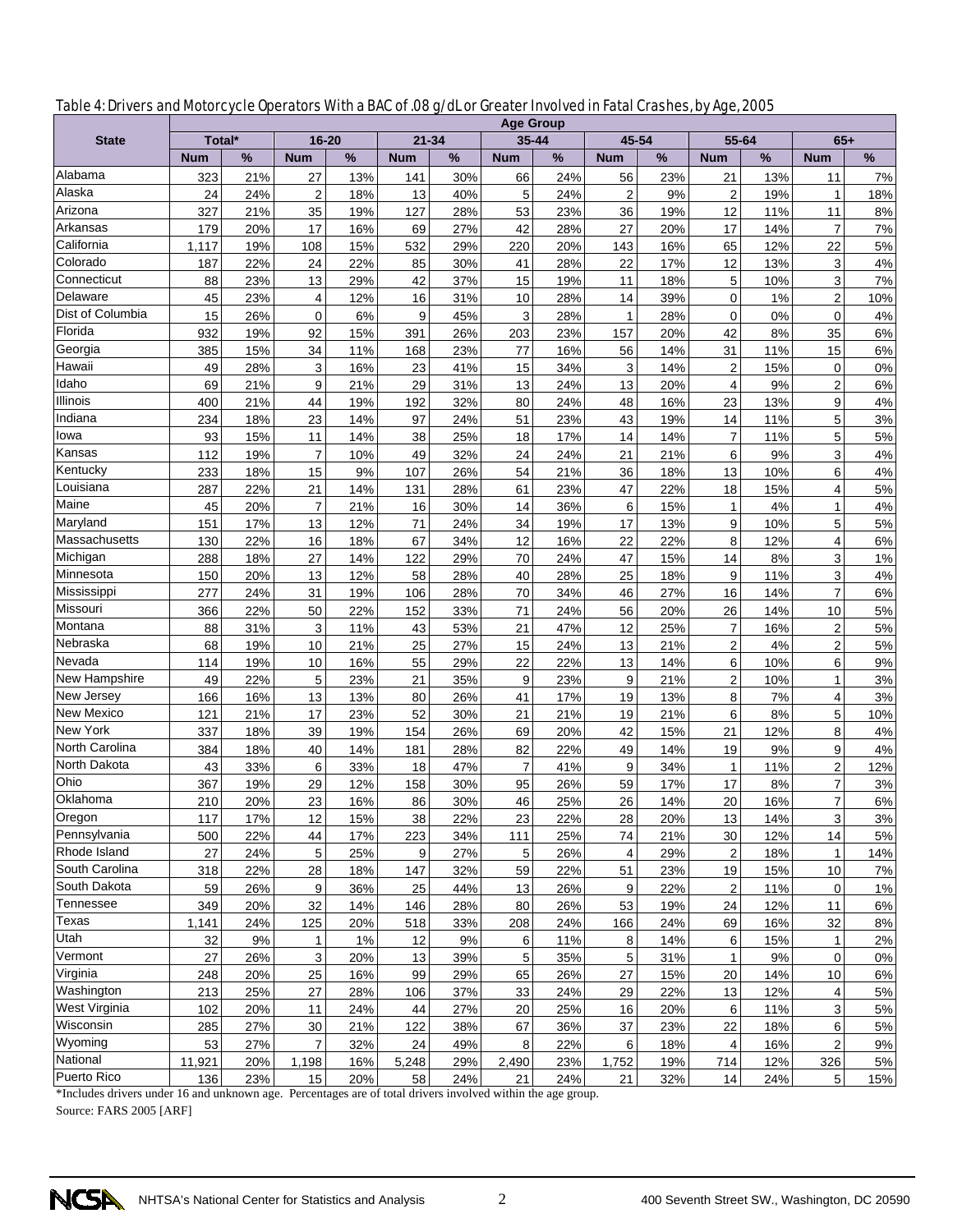| Table 4: Drivers and Motorcycle Operators With a BAC of .08 g/dL or Greater Involved in Fatal Crashes, by Age, 2005 |  |
|---------------------------------------------------------------------------------------------------------------------|--|
|---------------------------------------------------------------------------------------------------------------------|--|

|                   | <b>Age Group</b> |           |                   |           |            |           |                |            |                  |            |                         |           |                         |               |
|-------------------|------------------|-----------|-------------------|-----------|------------|-----------|----------------|------------|------------------|------------|-------------------------|-----------|-------------------------|---------------|
| <b>State</b>      | Total*           |           | $16 - 20$         |           | $21 - 34$  |           |                | $35 - 44$  | 45-54            |            | 55-64                   |           | $65+$                   |               |
|                   | <b>Num</b>       | %         | <b>Num</b>        | %         | <b>Num</b> | %         | <b>Num</b>     | %          | <b>Num</b>       | %          | <b>Num</b>              | %         | <b>Num</b>              | $\frac{9}{6}$ |
| Alabama           | 323              | 21%       | 27                | 13%       | 141        | 30%       | 66             | 24%        | 56               | 23%        | 21                      | 13%       | 11                      | 7%            |
| Alaska            | 24               | 24%       | $\overline{2}$    | 18%       | 13         | 40%       | 5              | 24%        | $\overline{2}$   | 9%         | $\overline{c}$          | 19%       | $\mathbf{1}$            | 18%           |
| Arizona           | 327              | 21%       | 35                | 19%       | 127        | 28%       | 53             | 23%        | 36               | 19%        | 12                      | 11%       | 11                      | 8%            |
| Arkansas          | 179              | 20%       | 17                | 16%       | 69         | 27%       | 42             | 28%        | 27               | 20%        | 17                      | 14%       | $\overline{7}$          | 7%            |
| California        | 1,117            | 19%       | 108               | 15%       | 532        | 29%       | 220            | 20%        | 143              | 16%        | 65                      | 12%       | 22                      | 5%            |
| Colorado          | 187              | 22%       | 24                | 22%       | 85         | 30%       | 41             | 28%        | 22               | 17%        | 12                      | 13%       | 3                       | 4%            |
| Connecticut       | 88               | 23%       | 13                | 29%       | 42         | 37%       | 15             | 19%        | 11               | 18%        | 5                       | 10%       | 3                       | 7%            |
| Delaware          | 45               | 23%       | 4                 | 12%       | 16         | 31%       | 10             | 28%        | 14               | 39%        | 0                       | 1%        | $\overline{2}$          | 10%           |
| Dist of Columbia  | 15               | 26%       | 0                 | 6%        | 9          | 45%       | 3              | 28%        | 1                | 28%        | 0                       | 0%        | 0                       | 4%            |
| Florida           | 932              | 19%       | 92                | 15%       | 391        | 26%       | 203            | 23%        | 157              | 20%        | 42                      | 8%        | 35                      | $6\%$         |
| Georgia           | 385              | 15%       | 34                | 11%       | 168        | 23%       | 77             | 16%        | 56               | 14%        | 31                      | 11%       | 15                      | $6\%$         |
| Hawaii            | 49               | 28%       | 3                 | 16%       | 23         | 41%       | 15             | 34%        | 3                | 14%        | $\overline{2}$          | 15%       | $\mathbf 0$             | 0%            |
| Idaho             | 69               | 21%       | 9                 | 21%       | 29         | 31%       | 13             | 24%        | 13               | 20%        | 4                       | 9%        | $\overline{2}$          | 6%            |
| Illinois          | 400              | 21%       | 44                | 19%       | 192        | 32%       | 80             | 24%        | 48               | 16%        | 23                      | 13%       | 9                       | 4%            |
| Indiana           | 234              | 18%       | 23                | 14%       | 97         | 24%       | 51             | 23%        | 43               | 19%        | 14                      | 11%       | 5                       | 3%            |
| lowa              | 93               | 15%       | 11                | 14%       | 38         | 25%       | 18             | 17%        | 14               | 14%        | 7                       | 11%       | 5                       | 5%            |
| Kansas            | 112              | 19%       | $\overline{7}$    | 10%       | 49         | 32%       | 24             | 24%        | 21               | 21%        | 6                       | 9%        | 3                       | 4%            |
| Kentucky          | 233              | 18%       | 15                | 9%        | 107        | 26%       | 54             | 21%        | 36               | 18%        | 13                      | 10%       | 6                       | 4%            |
| Louisiana         | 287              | 22%       | 21                | 14%       | 131        | 28%       | 61             | 23%        | 47               | 22%        | 18                      | 15%       | $\overline{4}$          | 5%            |
| Maine             | 45               | 20%       | 7                 | 21%       | 16         | 30%       | 14             | 36%        | 6                | 15%        | 1                       | 4%        | $\mathbf{1}$            | 4%            |
| Maryland          | 151              | 17%       | 13                | 12%       | 71         | 24%       | 34             | 19%        | 17               | 13%        | 9                       | 10%       | 5                       | 5%            |
| Massachusetts     | 130              | 22%       | 16                | 18%       | 67         | 34%       | 12             | 16%        | 22               | 22%        | 8                       | 12%       | $\overline{4}$          | 6%            |
| Michigan          | 288              | 18%       | 27                | 14%       | 122        | 29%       | 70             | 24%        | 47               | 15%        | 14                      | 8%        | 3                       | 1%            |
| Minnesota         | 150              | 20%       | 13                | 12%       | 58         | 28%       | 40             | 28%        | 25               | 18%        | 9                       | 11%       | 3                       | 4%            |
| Mississippi       | 277              | 24%       | 31                | 19%       | 106        | 28%       | 70             | 34%        | 46               | 27%        | 16                      | 14%       | $\overline{7}$          | $6\%$         |
| Missouri          | 366              | 22%       | 50                | 22%       | 152        | 33%       | 71             | 24%        | 56               | 20%        | 26                      | 14%       | 10                      | 5%            |
| Montana           | 88               | 31%       | 3                 | 11%       | 43         | 53%       | 21             | 47%        | 12               | 25%        | $\boldsymbol{7}$        | 16%       | $\overline{2}$          | 5%            |
| Nebraska          | 68               | 19%       | 10                | 21%       | 25         | 27%       | 15             | 24%        | 13               | 21%        | 2                       | 4%        | $\overline{2}$          | 5%            |
| Nevada            | 114              | 19%       | 10                | 16%       | 55         | 29%       | 22             | 22%        | 13               | 14%        | 6                       | 10%       | 6                       | 9%            |
| New Hampshire     | 49               | 22%       | 5                 | 23%       | 21         | 35%       | 9              | 23%        | 9                | 21%        | $\mathbf 2$             | 10%       | $\mathbf{1}$            | 3%            |
| New Jersey        | 166              | 16%       | 13                | 13%       | 80         | 26%       | 41             | 17%        | 19               | 13%        | 8                       | 7%        | 4                       | 3%            |
| <b>New Mexico</b> | 121              | 21%       | 17                | 23%       | 52         | 30%       | 21             | 21%        | 19               | 21%        | 6                       | 8%        | 5                       | 10%           |
| New York          | 337              | 18%       | 39                | 19%       | 154        | 26%       | 69             | 20%        | 42               | 15%        | 21                      | 12%       | 8                       | 4%            |
| North Carolina    | 384              | 18%       | 40                | 14%       | 181        | 28%       | 82             | 22%        | 49               | 14%        | 19                      | 9%        | 9                       | 4%            |
| North Dakota      | 43               | 33%       | 6                 | 33%       | 18         | 47%       | $\overline{7}$ | 41%        | 9                | 34%        | 1                       | 11%       | $\overline{2}$          | 12%           |
| Ohio              | 367              | 19%       | 29                | 12%       | 158        | 30%       | 95             | 26%        | 59               | 17%        | 17                      | 8%        | $\overline{7}$          | 3%            |
| Oklahoma          | 210              | 20%       | 23                | 16%       | 86         | 30%       | 46             | 25%        | 26               | 14%        | 20                      | 16%       | $\overline{7}$          | $6\%$         |
| Oregon            | 117              | 17%       | 12                | 15%       | 38         | 22%       | <u>23</u>      | 22%        | <u>28</u>        | 20%        | 13                      | 14%       | 3                       | 3%            |
| Pennsylvania      | 500              | 22%       | 44                | 17%       | 223        | 34%       | 111            | 25%        | 74               | 21%        | 30                      | 12%       | 14                      | $5%$          |
| Rhode Island      | 27               | 24%       | 5                 | 25%       | 9          | 27%       | 5              | 26%        | 4                | 29%        | $\overline{\mathbf{c}}$ | 18%       | $\mathbf{1}$            | 14%           |
| South Carolina    | 318              | 22%       | <u>28</u>         | 18%       | 147        | 32%       | 59             | 22%        | 51               | 23%        | 19                      | 15%       | 10                      | 7%            |
| South Dakota      | 59               | 26%       | 9                 | 36%       | 25         | 44%       | 13             | 26%        | 9                | 22%        | 2                       | 11%       | 0                       | 1%            |
| Tennessee         | 349              | 20%       | 32                | 14%       | 146        | 28%       | 80             | 26%        | 53               | 19%        | 24                      | 12%       | 11                      | 6%            |
| Texas             | 1,141            | 24%       | 125               | 20%       | 518        | 33%       | 208            | 24%        | 166              | 24%        | 69                      | 16%       | 32                      | 8%            |
| Utah              |                  |           |                   |           |            |           |                |            |                  |            |                         |           |                         |               |
| Vermont           | 32<br>27         | 9%<br>26% | $\mathbf{1}$<br>3 | 1%<br>20% | 12<br>13   | 9%<br>39% | 6<br>5         | 11%<br>35% | 8<br>$\mathbf 5$ | 14%<br>31% | 6<br>$\mathbf{1}$       | 15%<br>9% | $\mathbf{1}$<br>0       | 2%<br>$0\%$   |
| Virginia          |                  |           | 25                | 16%       |            | 29%       | 65             |            | 27               |            |                         |           | 10                      |               |
| Washington        | 248              | 20%       |                   |           | 99         |           |                | 26%        |                  | 15%        | 20                      | 14%       |                         | $6\%$         |
| West Virginia     | 213              | 25%       | 27                | 28%       | 106        | 37%       | 33             | 24%        | 29               | 22%        | 13                      | 12%       | 4                       | $5%$          |
| Wisconsin         | 102              | 20%       | 11                | 24%       | 44         | 27%       | 20             | 25%        | 16               | 20%        | 6                       | 11%       | 3                       | $5%$          |
| Wyoming           | 285              | 27%       | 30                | 21%       | 122        | 38%       | 67             | 36%        | 37               | 23%        | 22                      | 18%       | 6                       | 5%            |
| National          | 53               | 27%       | 7                 | 32%       | 24         | 49%       | 8              | 22%        | 6                | 18%        | 4                       | 16%       | $\overline{\mathbf{c}}$ | 9%            |
| Puerto Rico       | 11,921           | 20%       | 1,198             | 16%       | 5,248      | 29%       | 2,490          | 23%        | 1,752            | 19%        | 714                     | 12%       | 326                     | $5%$          |
|                   | 136              | 23%       | 15                | 20%       | 58         | 24%       | 21             | 24%        | 21               | 32%        | 14                      | 24%       | 5                       | 15%           |

\*Includes drivers under 16 and unknown age. Percentages are of total drivers involved within the age group.

Source: FARS 2005 [ARF]